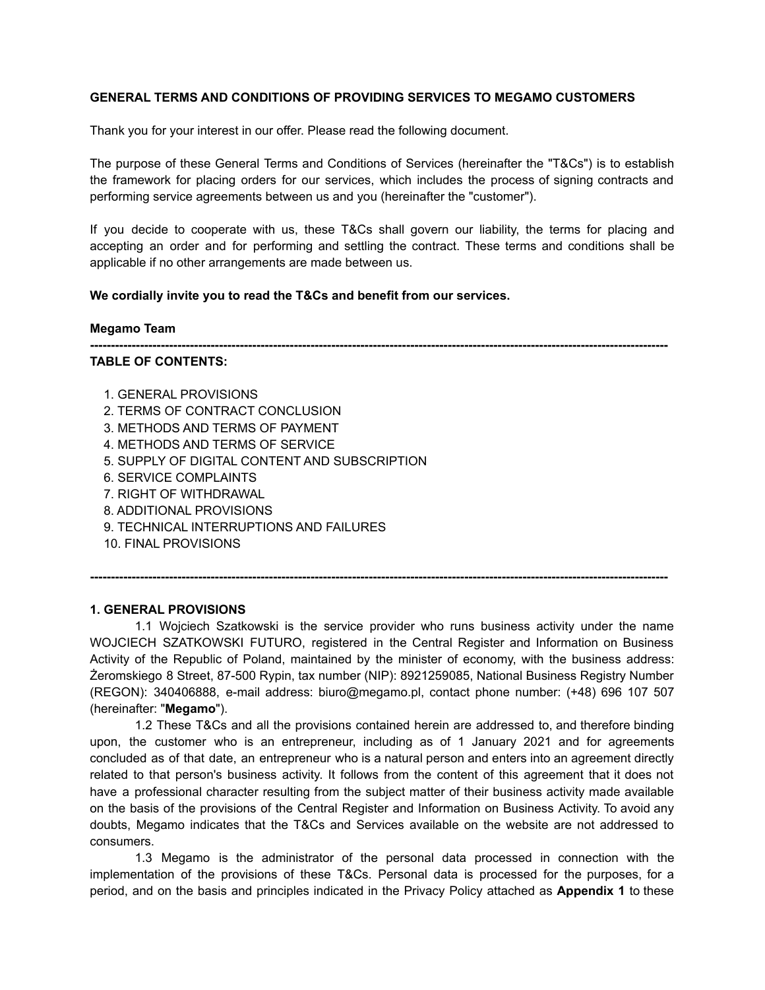### **GENERAL TERMS AND CONDITIONS OF PROVIDING SERVICES TO MEGAMO CUSTOMERS**

Thank you for your interest in our offer. Please read the following document.

The purpose of these General Terms and Conditions of Services (hereinafter the "T&Cs") is to establish the framework for placing orders for our services, which includes the process of signing contracts and performing service agreements between us and you (hereinafter the "customer").

If you decide to cooperate with us, these T&Cs shall govern our liability, the terms for placing and accepting an order and for performing and settling the contract. These terms and conditions shall be applicable if no other arrangements are made between us.

### **We cordially invite you to read the T&Cs and benefit from our services.**

#### **Megamo Team**

**-------------------------------------------------------------------------------------------------------------------------------------------**

### **TABLE OF CONTENTS:**

- 1. GENERAL PROVISIONS
- 2. TERMS OF CONTRACT CONCLUSION
- 3. METHODS AND TERMS OF PAYMENT
- 4. METHODS AND TERMS OF SERVICE
- 5. SUPPLY OF DIGITAL CONTENT AND SUBSCRIPTION
- 6. SERVICE COMPLAINTS
- 7. RIGHT OF WITHDRAWAL
- 8. ADDITIONAL PROVISIONS
- 9. TECHNICAL INTERRUPTIONS AND FAILURES
- 10. FINAL PROVISIONS

### **1. GENERAL PROVISIONS**

1.1 Wojciech Szatkowski is the service provider who runs business activity under the name WOJCIECH SZATKOWSKI FUTURO, registered in the Central Register and Information on Business Activity of the Republic of Poland, maintained by the minister of economy, with the business address: Żeromskiego 8 Street, 87-500 Rypin, tax number (NIP): 8921259085, National Business Registry Number (REGON): 340406888, e-mail address: biuro@megamo.pl, contact phone number: (+48) 696 107 507 (hereinafter: "**Megamo**").

**-------------------------------------------------------------------------------------------------------------------------------------------**

1.2 These T&Cs and all the provisions contained herein are addressed to, and therefore binding upon, the customer who is an entrepreneur, including as of 1 January 2021 and for agreements concluded as of that date, an entrepreneur who is a natural person and enters into an agreement directly related to that person's business activity. It follows from the content of this agreement that it does not have a professional character resulting from the subject matter of their business activity made available on the basis of the provisions of the Central Register and Information on Business Activity. To avoid any doubts, Megamo indicates that the T&Cs and Services available on the website are not addressed to consumers.

1.3 Megamo is the administrator of the personal data processed in connection with the implementation of the provisions of these T&Cs. Personal data is processed for the purposes, for a period, and on the basis and principles indicated in the Privacy Policy attached as **Appendix 1** to these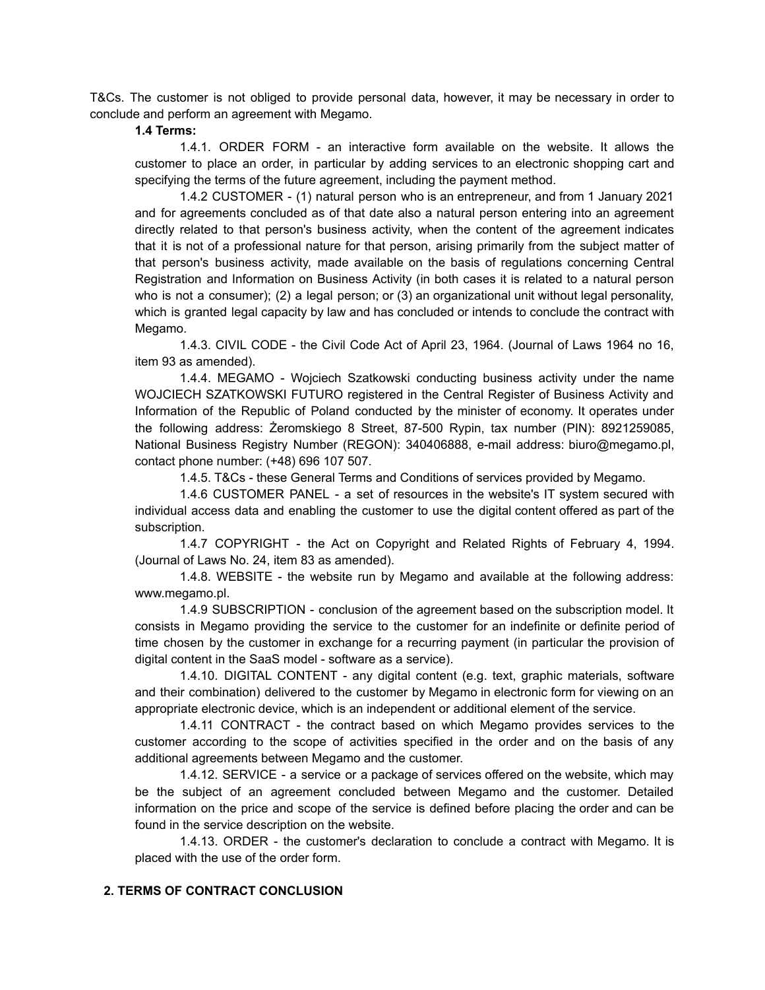T&Cs. The customer is not obliged to provide personal data, however, it may be necessary in order to conclude and perform an agreement with Megamo.

#### **1.4 Terms:**

1.4.1. ORDER FORM - an interactive form available on the website. It allows the customer to place an order, in particular by adding services to an electronic shopping cart and specifying the terms of the future agreement, including the payment method.

1.4.2 CUSTOMER - (1) natural person who is an entrepreneur, and from 1 January 2021 and for agreements concluded as of that date also a natural person entering into an agreement directly related to that person's business activity, when the content of the agreement indicates that it is not of a professional nature for that person, arising primarily from the subject matter of that person's business activity, made available on the basis of regulations concerning Central Registration and Information on Business Activity (in both cases it is related to a natural person who is not a consumer); (2) a legal person; or (3) an organizational unit without legal personality, which is granted legal capacity by law and has concluded or intends to conclude the contract with Megamo.

1.4.3. CIVIL CODE - the Civil Code Act of April 23, 1964. (Journal of Laws 1964 no 16, item 93 as amended).

1.4.4. MEGAMO - Wojciech Szatkowski conducting business activity under the name WOJCIECH SZATKOWSKI FUTURO registered in the Central Register of Business Activity and Information of the Republic of Poland conducted by the minister of economy. It operates under the following address: Żeromskiego 8 Street, 87-500 Rypin, tax number (PIN): 8921259085, National Business Registry Number (REGON): 340406888, e-mail address: biuro@megamo.pl, contact phone number: (+48) 696 107 507.

1.4.5. T&Cs - these General Terms and Conditions of services provided by Megamo.

1.4.6 CUSTOMER PANEL - a set of resources in the website's IT system secured with individual access data and enabling the customer to use the digital content offered as part of the subscription.

1.4.7 COPYRIGHT - the Act on Copyright and Related Rights of February 4, 1994. (Journal of Laws No. 24, item 83 as amended).

1.4.8. WEBSITE - the website run by Megamo and available at the following address: www.megamo.pl.

1.4.9 SUBSCRIPTION - conclusion of the agreement based on the subscription model. It consists in Megamo providing the service to the customer for an indefinite or definite period of time chosen by the customer in exchange for a recurring payment (in particular the provision of digital content in the SaaS model - software as a service).

1.4.10. DIGITAL CONTENT - any digital content (e.g. text, graphic materials, software and their combination) delivered to the customer by Megamo in electronic form for viewing on an appropriate electronic device, which is an independent or additional element of the service.

1.4.11 CONTRACT - the contract based on which Megamo provides services to the customer according to the scope of activities specified in the order and on the basis of any additional agreements between Megamo and the customer.

1.4.12. SERVICE - a service or a package of services offered on the website, which may be the subject of an agreement concluded between Megamo and the customer. Detailed information on the price and scope of the service is defined before placing the order and can be found in the service description on the website.

1.4.13. ORDER - the customer's declaration to conclude a contract with Megamo. It is placed with the use of the order form.

# **2. TERMS OF CONTRACT CONCLUSION**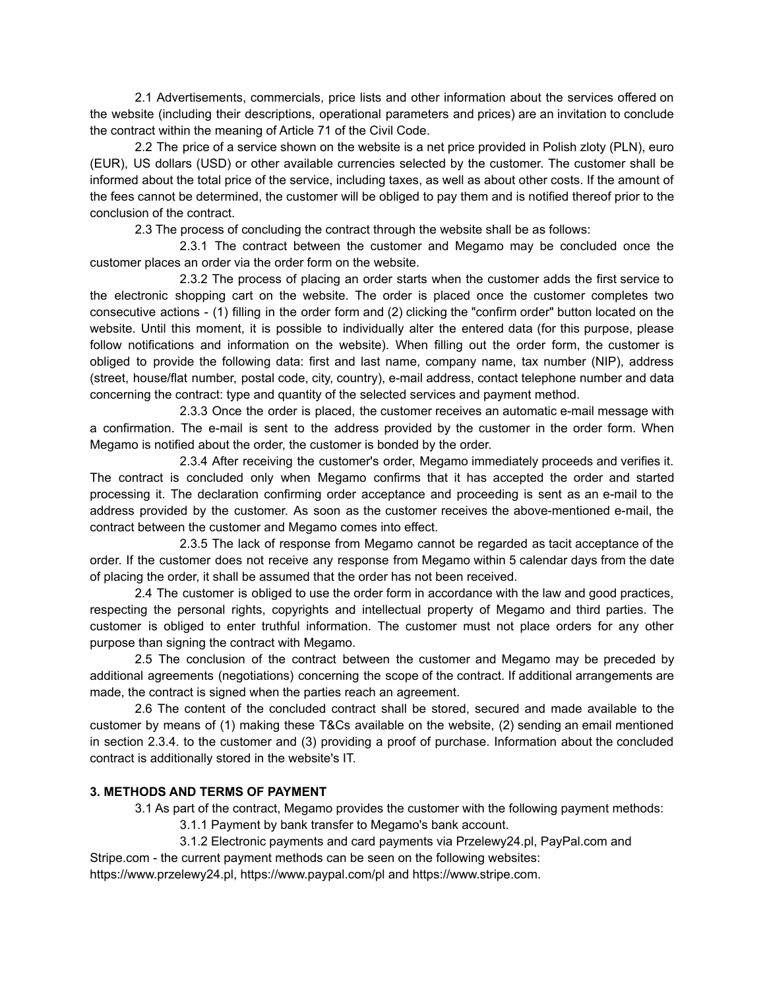2.1 Advertisements, commercials, price lists and other information about the services offered on the website (including their descriptions, operational parameters and prices) are an invitation to conclude the contract within the meaning of Article 71 of the Civil Code.

2.2 The price of a service shown on the website is a net price provided in Polish zloty (PLN), euro (EUR), US dollars (USD) or other available currencies selected by the customer. The customer shall be informed about the total price of the service, including taxes, as well as about other costs. If the amount of the fees cannot be determined, the customer will be obliged to pay them and is notified thereof prior to the conclusion of the contract.

2.3 The process of concluding the contract through the website shall be as follows:

2.3.1 The contract between the customer and Megamo may be concluded once the customer places an order via the order form on the website.

2.3.2 The process of placing an order starts when the customer adds the first service to the electronic shopping cart on the website. The order is placed once the customer completes two consecutive actions - (1) filling in the order form and (2) clicking the "confirm order" button located on the website. Until this moment, it is possible to individually alter the entered data (for this purpose, please follow notifications and information on the website). When filling out the order form, the customer is obliged to provide the following data: first and last name, company name, tax number (NIP), address (street, house/flat number, postal code, city, country), e-mail address, contact telephone number and data concerning the contract: type and quantity of the selected services and payment method.

2.3.3 Once the order is placed, the customer receives an automatic e-mail message with a confirmation. The e-mail is sent to the address provided by the customer in the order form. When Megamo is notified about the order, the customer is bonded by the order.

2.3.4 After receiving the customer's order, Megamo immediately proceeds and verifies it. The contract is concluded only when Megamo confirms that it has accepted the order and started processing it. The declaration confirming order acceptance and proceeding is sent as an e-mail to the address provided by the customer. As soon as the customer receives the above-mentioned e-mail, the contract between the customer and Megamo comes into effect.

2.3.5 The lack of response from Megamo cannot be regarded as tacit acceptance of the order. If the customer does not receive any response from Megamo within 5 calendar days from the date of placing the order, it shall be assumed that the order has not been received.

2.4 The customer is obliged to use the order form in accordance with the law and good practices, respecting the personal rights, copyrights and intellectual property of Megamo and third parties. The customer is obliged to enter truthful information. The customer must not place orders for any other purpose than signing the contract with Megamo.

2.5 The conclusion of the contract between the customer and Megamo may be preceded by additional agreements (negotiations) concerning the scope of the contract. If additional arrangements are made, the contract is signed when the parties reach an agreement.

2.6 The content of the concluded contract shall be stored, secured and made available to the customer by means of (1) making these T&Cs available on the website, (2) sending an email mentioned in section 2.3.4. to the customer and (3) providing a proof of purchase. Information about the concluded contract is additionally stored in the website's IT.

# **3. METHODS AND TERMS OF PAYMENT**

3.1 As part of the contract, Megamo provides the customer with the following payment methods:

3.1.1 Payment by bank transfer to Megamo's bank account.

3.1.2 Electronic payments and card payments via Przelewy24.pl, PayPal.com and

Stripe.com - the current payment methods can be seen on the following websites:

https://www.przelewy24.pl, https://www.paypal.com/pl and https://www.stripe.com.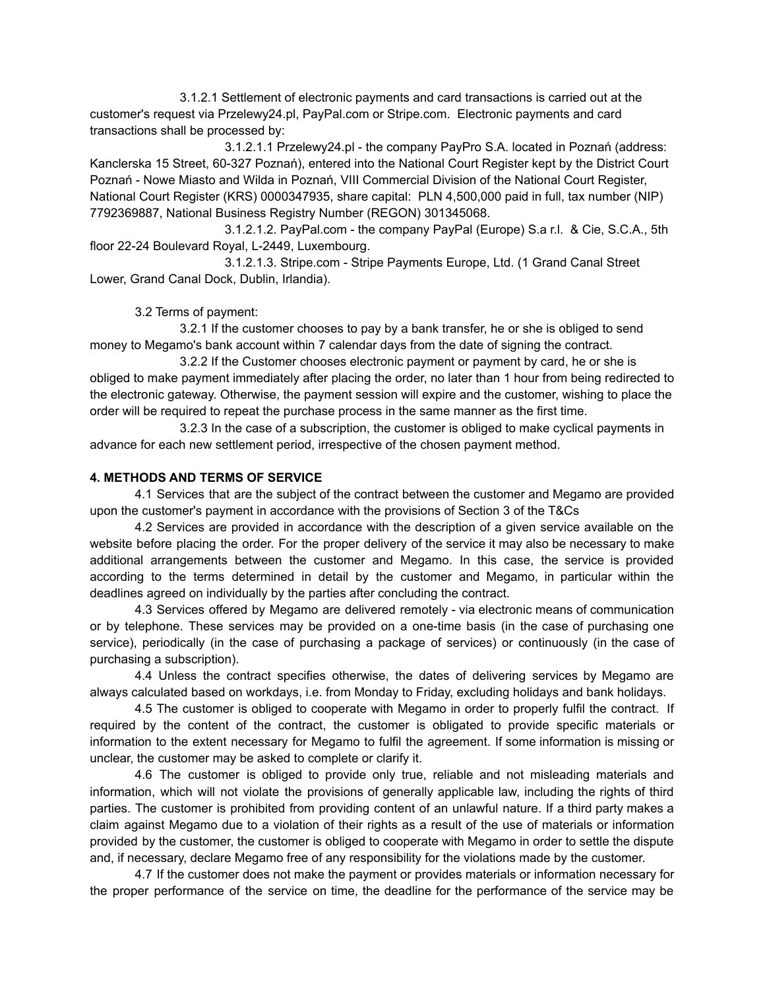3.1.2.1 Settlement of electronic payments and card transactions is carried out at the customer's request via Przelewy24.pl, PayPal.com or Stripe.com. Electronic payments and card transactions shall be processed by:

3.1.2.1.1 Przelewy24.pl - the company PayPro S.A. located in Poznań (address: Kanclerska 15 Street, 60-327 Poznań), entered into the National Court Register kept by the District Court Poznań - Nowe Miasto and Wilda in Poznań, VIII Commercial Division of the National Court Register, National Court Register (KRS) 0000347935, share capital: PLN 4,500,000 paid in full, tax number (NIP) 7792369887, National Business Registry Number (REGON) 301345068.

3.1.2.1.2. PayPal.com - the company PayPal (Europe) S.a r.l. & Cie, S.C.A., 5th floor 22-24 Boulevard Royal, L-2449, Luxembourg.

3.1.2.1.3. Stripe.com - Stripe Payments Europe, Ltd. (1 Grand Canal Street Lower, Grand Canal Dock, Dublin, Irlandia).

3.2 Terms of payment:

3.2.1 If the customer chooses to pay by a bank transfer, he or she is obliged to send money to Megamo's bank account within 7 calendar days from the date of signing the contract.

3.2.2 If the Customer chooses electronic payment or payment by card, he or she is obliged to make payment immediately after placing the order, no later than 1 hour from being redirected to the electronic gateway. Otherwise, the payment session will expire and the customer, wishing to place the order will be required to repeat the purchase process in the same manner as the first time.

3.2.3 In the case of a subscription, the customer is obliged to make cyclical payments in advance for each new settlement period, irrespective of the chosen payment method.

# **4. METHODS AND TERMS OF SERVICE**

4.1 Services that are the subject of the contract between the customer and Megamo are provided upon the customer's payment in accordance with the provisions of Section 3 of the T&Cs

4.2 Services are provided in accordance with the description of a given service available on the website before placing the order. For the proper delivery of the service it may also be necessary to make additional arrangements between the customer and Megamo. In this case, the service is provided according to the terms determined in detail by the customer and Megamo, in particular within the deadlines agreed on individually by the parties after concluding the contract.

4.3 Services offered by Megamo are delivered remotely - via electronic means of communication or by telephone. These services may be provided on a one-time basis (in the case of purchasing one service), periodically (in the case of purchasing a package of services) or continuously (in the case of purchasing a subscription).

4.4 Unless the contract specifies otherwise, the dates of delivering services by Megamo are always calculated based on workdays, i.e. from Monday to Friday, excluding holidays and bank holidays.

4.5 The customer is obliged to cooperate with Megamo in order to properly fulfil the contract. If required by the content of the contract, the customer is obligated to provide specific materials or information to the extent necessary for Megamo to fulfil the agreement. If some information is missing or unclear, the customer may be asked to complete or clarify it.

4.6 The customer is obliged to provide only true, reliable and not misleading materials and information, which will not violate the provisions of generally applicable law, including the rights of third parties. The customer is prohibited from providing content of an unlawful nature. If a third party makes a claim against Megamo due to a violation of their rights as a result of the use of materials or information provided by the customer, the customer is obliged to cooperate with Megamo in order to settle the dispute and, if necessary, declare Megamo free of any responsibility for the violations made by the customer.

4.7 If the customer does not make the payment or provides materials or information necessary for the proper performance of the service on time, the deadline for the performance of the service may be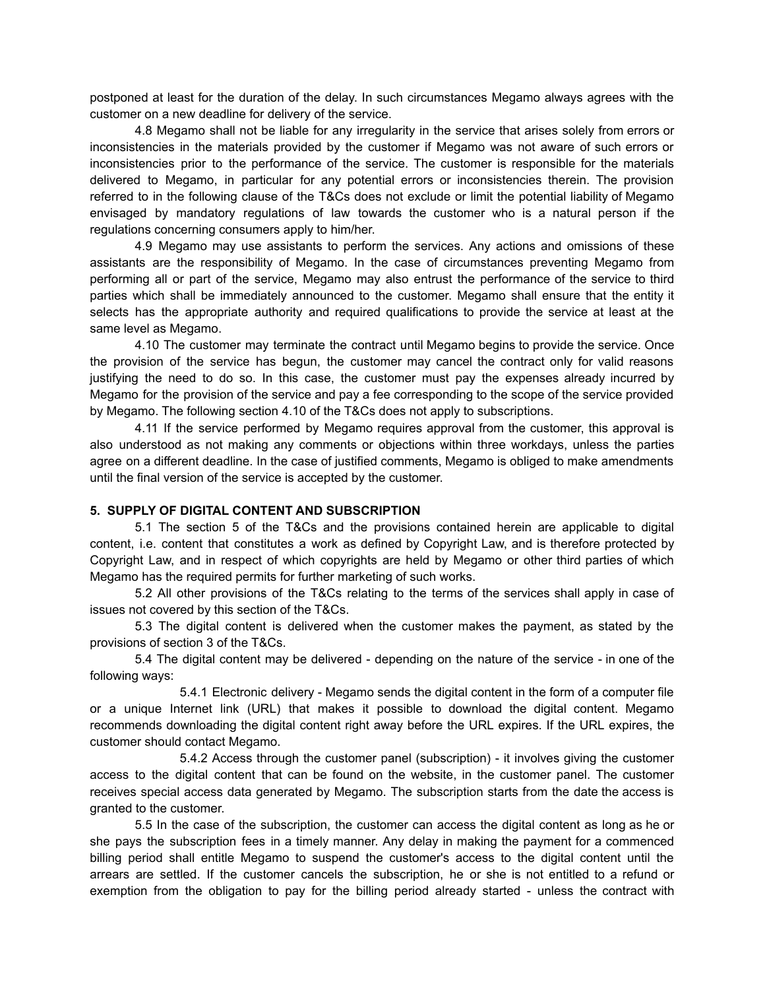postponed at least for the duration of the delay. In such circumstances Megamo always agrees with the customer on a new deadline for delivery of the service.

4.8 Megamo shall not be liable for any irregularity in the service that arises solely from errors or inconsistencies in the materials provided by the customer if Megamo was not aware of such errors or inconsistencies prior to the performance of the service. The customer is responsible for the materials delivered to Megamo, in particular for any potential errors or inconsistencies therein. The provision referred to in the following clause of the T&Cs does not exclude or limit the potential liability of Megamo envisaged by mandatory regulations of law towards the customer who is a natural person if the regulations concerning consumers apply to him/her.

4.9 Megamo may use assistants to perform the services. Any actions and omissions of these assistants are the responsibility of Megamo. In the case of circumstances preventing Megamo from performing all or part of the service, Megamo may also entrust the performance of the service to third parties which shall be immediately announced to the customer. Megamo shall ensure that the entity it selects has the appropriate authority and required qualifications to provide the service at least at the same level as Megamo.

4.10 The customer may terminate the contract until Megamo begins to provide the service. Once the provision of the service has begun, the customer may cancel the contract only for valid reasons justifying the need to do so. In this case, the customer must pay the expenses already incurred by Megamo for the provision of the service and pay a fee corresponding to the scope of the service provided by Megamo. The following section 4.10 of the T&Cs does not apply to subscriptions.

4.11 If the service performed by Megamo requires approval from the customer, this approval is also understood as not making any comments or objections within three workdays, unless the parties agree on a different deadline. In the case of justified comments, Megamo is obliged to make amendments until the final version of the service is accepted by the customer.

### **5. SUPPLY OF DIGITAL CONTENT AND SUBSCRIPTION**

5.1 The section 5 of the T&Cs and the provisions contained herein are applicable to digital content, i.e. content that constitutes a work as defined by Copyright Law, and is therefore protected by Copyright Law, and in respect of which copyrights are held by Megamo or other third parties of which Megamo has the required permits for further marketing of such works.

5.2 All other provisions of the T&Cs relating to the terms of the services shall apply in case of issues not covered by this section of the T&Cs.

5.3 The digital content is delivered when the customer makes the payment, as stated by the provisions of section 3 of the T&Cs.

5.4 The digital content may be delivered - depending on the nature of the service - in one of the following ways:

5.4.1 Electronic delivery - Megamo sends the digital content in the form of a computer file or a unique Internet link (URL) that makes it possible to download the digital content. Megamo recommends downloading the digital content right away before the URL expires. If the URL expires, the customer should contact Megamo.

5.4.2 Access through the customer panel (subscription) - it involves giving the customer access to the digital content that can be found on the website, in the customer panel. The customer receives special access data generated by Megamo. The subscription starts from the date the access is granted to the customer.

5.5 In the case of the subscription, the customer can access the digital content as long as he or she pays the subscription fees in a timely manner. Any delay in making the payment for a commenced billing period shall entitle Megamo to suspend the customer's access to the digital content until the arrears are settled. If the customer cancels the subscription, he or she is not entitled to a refund or exemption from the obligation to pay for the billing period already started - unless the contract with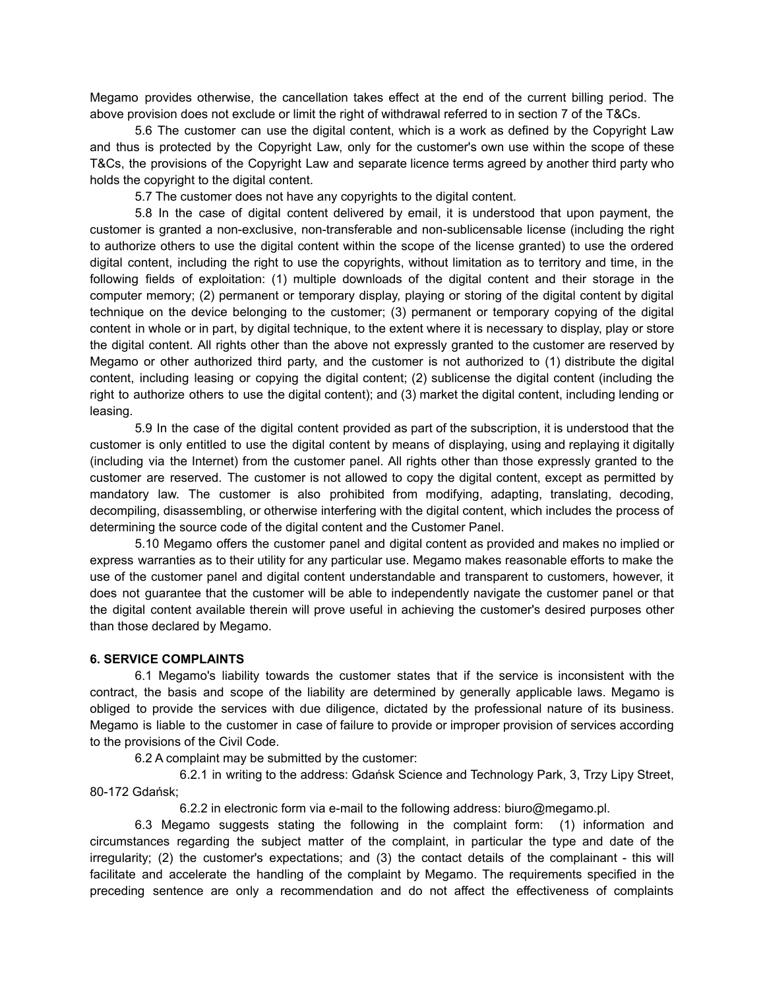Megamo provides otherwise, the cancellation takes effect at the end of the current billing period. The above provision does not exclude or limit the right of withdrawal referred to in section 7 of the T&Cs.

5.6 The customer can use the digital content, which is a work as defined by the Copyright Law and thus is protected by the Copyright Law, only for the customer's own use within the scope of these T&Cs, the provisions of the Copyright Law and separate licence terms agreed by another third party who holds the copyright to the digital content.

5.7 The customer does not have any copyrights to the digital content.

5.8 In the case of digital content delivered by email, it is understood that upon payment, the customer is granted a non-exclusive, non-transferable and non-sublicensable license (including the right to authorize others to use the digital content within the scope of the license granted) to use the ordered digital content, including the right to use the copyrights, without limitation as to territory and time, in the following fields of exploitation: (1) multiple downloads of the digital content and their storage in the computer memory; (2) permanent or temporary display, playing or storing of the digital content by digital technique on the device belonging to the customer; (3) permanent or temporary copying of the digital content in whole or in part, by digital technique, to the extent where it is necessary to display, play or store the digital content. All rights other than the above not expressly granted to the customer are reserved by Megamo or other authorized third party, and the customer is not authorized to (1) distribute the digital content, including leasing or copying the digital content; (2) sublicense the digital content (including the right to authorize others to use the digital content); and (3) market the digital content, including lending or leasing.

5.9 In the case of the digital content provided as part of the subscription, it is understood that the customer is only entitled to use the digital content by means of displaying, using and replaying it digitally (including via the Internet) from the customer panel. All rights other than those expressly granted to the customer are reserved. The customer is not allowed to copy the digital content, except as permitted by mandatory law. The customer is also prohibited from modifying, adapting, translating, decoding, decompiling, disassembling, or otherwise interfering with the digital content, which includes the process of determining the source code of the digital content and the Customer Panel.

5.10 Megamo offers the customer panel and digital content as provided and makes no implied or express warranties as to their utility for any particular use. Megamo makes reasonable efforts to make the use of the customer panel and digital content understandable and transparent to customers, however, it does not guarantee that the customer will be able to independently navigate the customer panel or that the digital content available therein will prove useful in achieving the customer's desired purposes other than those declared by Megamo.

### **6. SERVICE COMPLAINTS**

6.1 Megamo's liability towards the customer states that if the service is inconsistent with the contract, the basis and scope of the liability are determined by generally applicable laws. Megamo is obliged to provide the services with due diligence, dictated by the professional nature of its business. Megamo is liable to the customer in case of failure to provide or improper provision of services according to the provisions of the Civil Code.

6.2 A complaint may be submitted by the customer:

6.2.1 in writing to the address: Gdańsk Science and Technology Park, 3, Trzy Lipy Street, 80-172 Gdańsk;

6.2.2 in electronic form via e-mail to the following address: biuro@megamo.pl.

6.3 Megamo suggests stating the following in the complaint form: (1) information and circumstances regarding the subject matter of the complaint, in particular the type and date of the irregularity; (2) the customer's expectations; and (3) the contact details of the complainant - this will facilitate and accelerate the handling of the complaint by Megamo. The requirements specified in the preceding sentence are only a recommendation and do not affect the effectiveness of complaints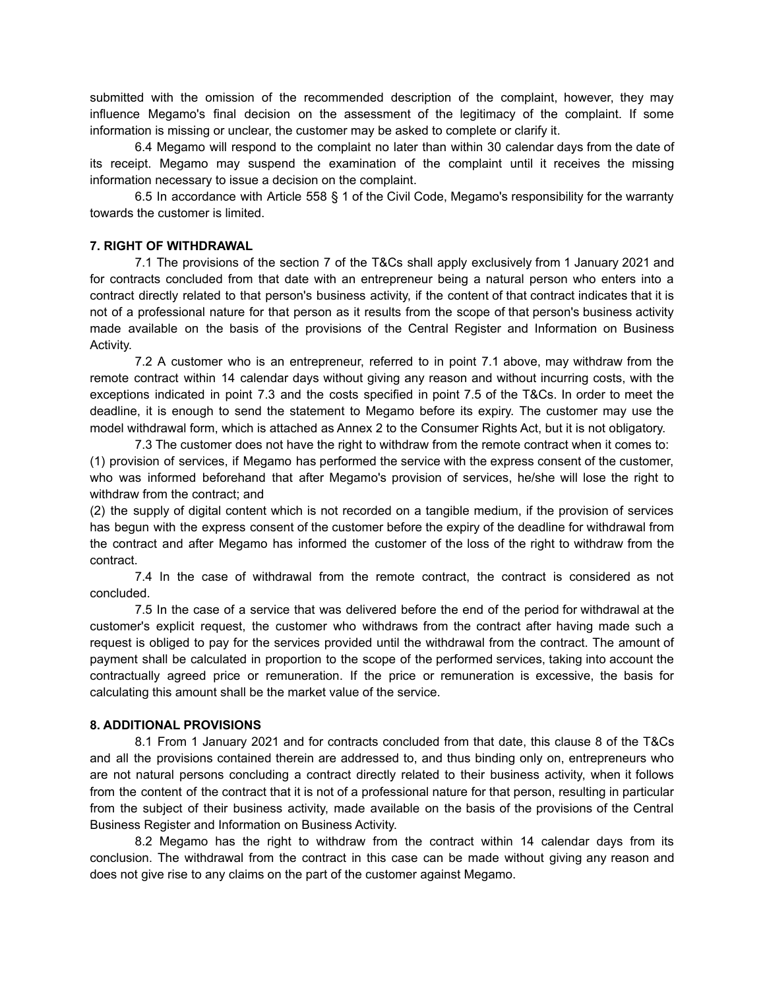submitted with the omission of the recommended description of the complaint, however, they may influence Megamo's final decision on the assessment of the legitimacy of the complaint. If some information is missing or unclear, the customer may be asked to complete or clarify it.

6.4 Megamo will respond to the complaint no later than within 30 calendar days from the date of its receipt. Megamo may suspend the examination of the complaint until it receives the missing information necessary to issue a decision on the complaint.

6.5 In accordance with Article 558 § 1 of the Civil Code, Megamo's responsibility for the warranty towards the customer is limited.

### **7. RIGHT OF WITHDRAWAL**

7.1 The provisions of the section 7 of the T&Cs shall apply exclusively from 1 January 2021 and for contracts concluded from that date with an entrepreneur being a natural person who enters into a contract directly related to that person's business activity, if the content of that contract indicates that it is not of a professional nature for that person as it results from the scope of that person's business activity made available on the basis of the provisions of the Central Register and Information on Business Activity.

7.2 A customer who is an entrepreneur, referred to in point 7.1 above, may withdraw from the remote contract within 14 calendar days without giving any reason and without incurring costs, with the exceptions indicated in point 7.3 and the costs specified in point 7.5 of the T&Cs. In order to meet the deadline, it is enough to send the statement to Megamo before its expiry. The customer may use the model withdrawal form, which is attached as Annex 2 to the Consumer Rights Act, but it is not obligatory.

7.3 The customer does not have the right to withdraw from the remote contract when it comes to: (1) provision of services, if Megamo has performed the service with the express consent of the customer, who was informed beforehand that after Megamo's provision of services, he/she will lose the right to withdraw from the contract; and

(2) the supply of digital content which is not recorded on a tangible medium, if the provision of services has begun with the express consent of the customer before the expiry of the deadline for withdrawal from the contract and after Megamo has informed the customer of the loss of the right to withdraw from the contract.

7.4 In the case of withdrawal from the remote contract, the contract is considered as not concluded.

7.5 In the case of a service that was delivered before the end of the period for withdrawal at the customer's explicit request, the customer who withdraws from the contract after having made such a request is obliged to pay for the services provided until the withdrawal from the contract. The amount of payment shall be calculated in proportion to the scope of the performed services, taking into account the contractually agreed price or remuneration. If the price or remuneration is excessive, the basis for calculating this amount shall be the market value of the service.

### **8. ADDITIONAL PROVISIONS**

8.1 From 1 January 2021 and for contracts concluded from that date, this clause 8 of the T&Cs and all the provisions contained therein are addressed to, and thus binding only on, entrepreneurs who are not natural persons concluding a contract directly related to their business activity, when it follows from the content of the contract that it is not of a professional nature for that person, resulting in particular from the subject of their business activity, made available on the basis of the provisions of the Central Business Register and Information on Business Activity.

8.2 Megamo has the right to withdraw from the contract within 14 calendar days from its conclusion. The withdrawal from the contract in this case can be made without giving any reason and does not give rise to any claims on the part of the customer against Megamo.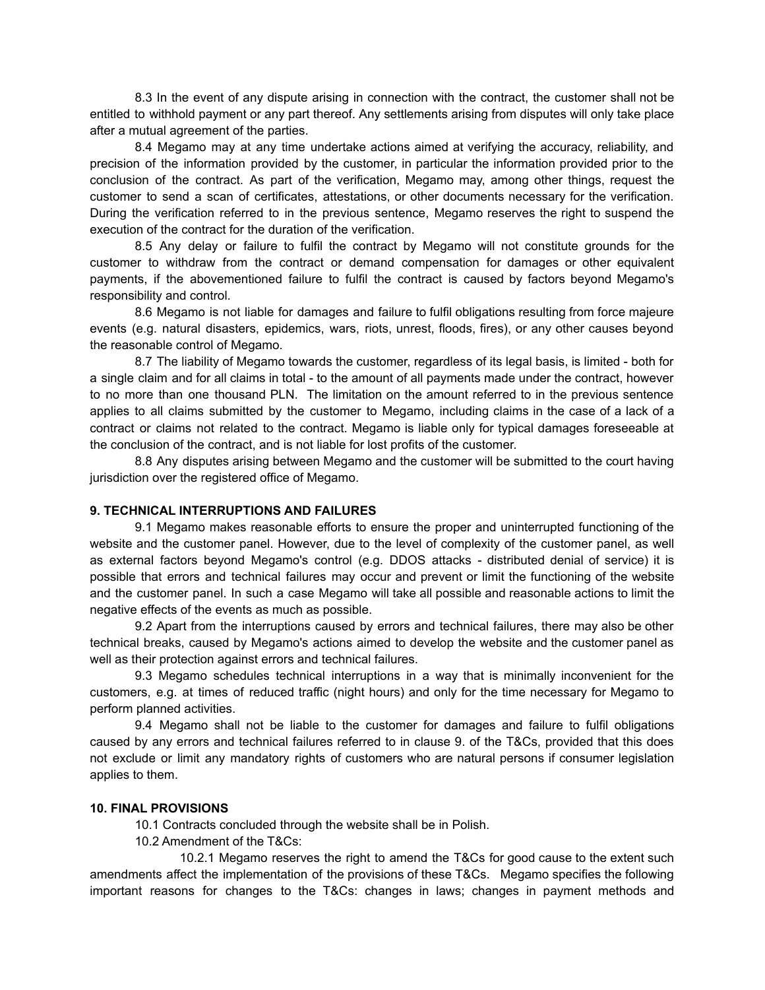8.3 In the event of any dispute arising in connection with the contract, the customer shall not be entitled to withhold payment or any part thereof. Any settlements arising from disputes will only take place after a mutual agreement of the parties.

8.4 Megamo may at any time undertake actions aimed at verifying the accuracy, reliability, and precision of the information provided by the customer, in particular the information provided prior to the conclusion of the contract. As part of the verification, Megamo may, among other things, request the customer to send a scan of certificates, attestations, or other documents necessary for the verification. During the verification referred to in the previous sentence, Megamo reserves the right to suspend the execution of the contract for the duration of the verification.

8.5 Any delay or failure to fulfil the contract by Megamo will not constitute grounds for the customer to withdraw from the contract or demand compensation for damages or other equivalent payments, if the abovementioned failure to fulfil the contract is caused by factors beyond Megamo's responsibility and control.

8.6 Megamo is not liable for damages and failure to fulfil obligations resulting from force majeure events (e.g. natural disasters, epidemics, wars, riots, unrest, floods, fires), or any other causes beyond the reasonable control of Megamo.

8.7 The liability of Megamo towards the customer, regardless of its legal basis, is limited - both for a single claim and for all claims in total - to the amount of all payments made under the contract, however to no more than one thousand PLN. The limitation on the amount referred to in the previous sentence applies to all claims submitted by the customer to Megamo, including claims in the case of a lack of a contract or claims not related to the contract. Megamo is liable only for typical damages foreseeable at the conclusion of the contract, and is not liable for lost profits of the customer.

8.8 Any disputes arising between Megamo and the customer will be submitted to the court having jurisdiction over the registered office of Megamo.

### **9. TECHNICAL INTERRUPTIONS AND FAILURES**

9.1 Megamo makes reasonable efforts to ensure the proper and uninterrupted functioning of the website and the customer panel. However, due to the level of complexity of the customer panel, as well as external factors beyond Megamo's control (e.g. DDOS attacks - distributed denial of service) it is possible that errors and technical failures may occur and prevent or limit the functioning of the website and the customer panel. In such a case Megamo will take all possible and reasonable actions to limit the negative effects of the events as much as possible.

9.2 Apart from the interruptions caused by errors and technical failures, there may also be other technical breaks, caused by Megamo's actions aimed to develop the website and the customer panel as well as their protection against errors and technical failures.

9.3 Megamo schedules technical interruptions in a way that is minimally inconvenient for the customers, e.g. at times of reduced traffic (night hours) and only for the time necessary for Megamo to perform planned activities.

9.4 Megamo shall not be liable to the customer for damages and failure to fulfil obligations caused by any errors and technical failures referred to in clause 9. of the T&Cs, provided that this does not exclude or limit any mandatory rights of customers who are natural persons if consumer legislation applies to them.

### **10. FINAL PROVISIONS**

10.1 Contracts concluded through the website shall be in Polish.

10.2 Amendment of the T&Cs:

10.2.1 Megamo reserves the right to amend the T&Cs for good cause to the extent such amendments affect the implementation of the provisions of these T&Cs. Megamo specifies the following important reasons for changes to the T&Cs: changes in laws; changes in payment methods and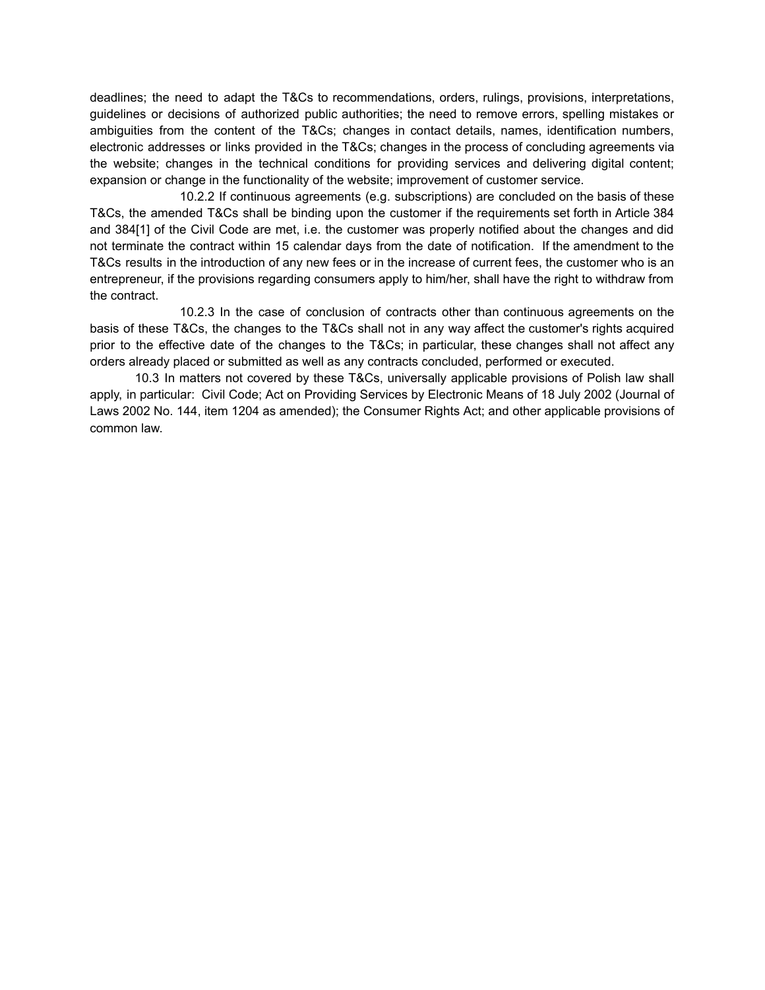deadlines; the need to adapt the T&Cs to recommendations, orders, rulings, provisions, interpretations, guidelines or decisions of authorized public authorities; the need to remove errors, spelling mistakes or ambiguities from the content of the T&Cs; changes in contact details, names, identification numbers, electronic addresses or links provided in the T&Cs; changes in the process of concluding agreements via the website; changes in the technical conditions for providing services and delivering digital content; expansion or change in the functionality of the website; improvement of customer service.

10.2.2 If continuous agreements (e.g. subscriptions) are concluded on the basis of these T&Cs, the amended T&Cs shall be binding upon the customer if the requirements set forth in Article 384 and 384[1] of the Civil Code are met, i.e. the customer was properly notified about the changes and did not terminate the contract within 15 calendar days from the date of notification. If the amendment to the T&Cs results in the introduction of any new fees or in the increase of current fees, the customer who is an entrepreneur, if the provisions regarding consumers apply to him/her, shall have the right to withdraw from the contract.

10.2.3 In the case of conclusion of contracts other than continuous agreements on the basis of these T&Cs, the changes to the T&Cs shall not in any way affect the customer's rights acquired prior to the effective date of the changes to the T&Cs; in particular, these changes shall not affect any orders already placed or submitted as well as any contracts concluded, performed or executed.

10.3 In matters not covered by these T&Cs, universally applicable provisions of Polish law shall apply, in particular: Civil Code; Act on Providing Services by Electronic Means of 18 July 2002 (Journal of Laws 2002 No. 144, item 1204 as amended); the Consumer Rights Act; and other applicable provisions of common law.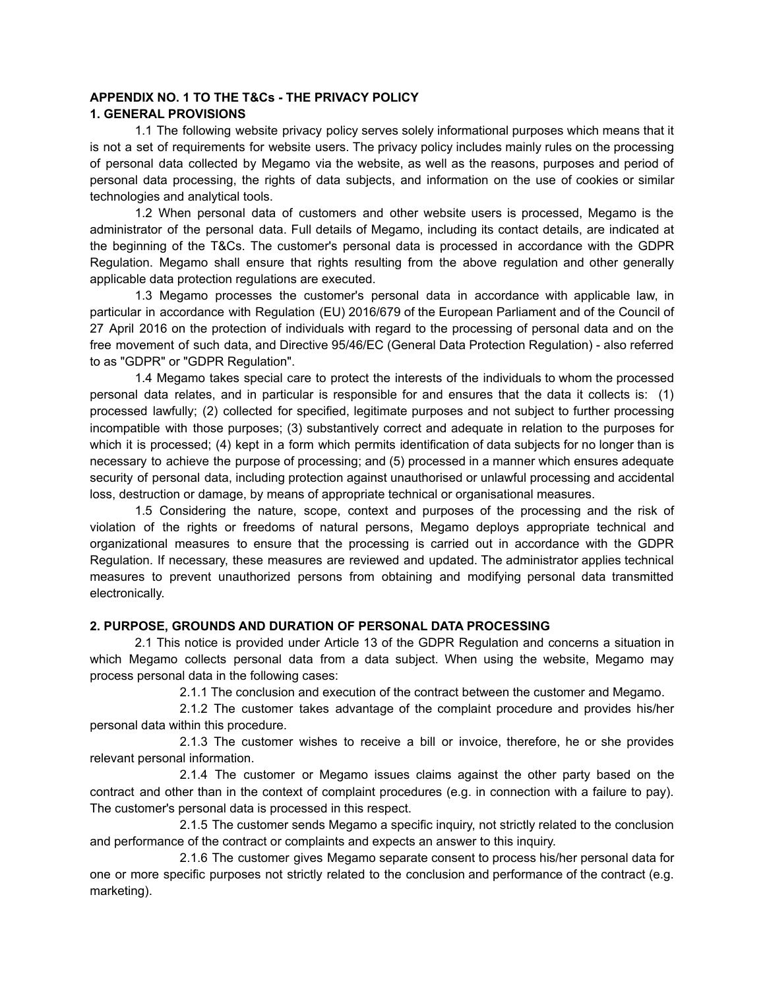### **APPENDIX NO. 1 TO THE T&Cs - THE PRIVACY POLICY 1. GENERAL PROVISIONS**

1.1 The following website privacy policy serves solely informational purposes which means that it is not a set of requirements for website users. The privacy policy includes mainly rules on the processing of personal data collected by Megamo via the website, as well as the reasons, purposes and period of personal data processing, the rights of data subjects, and information on the use of cookies or similar technologies and analytical tools.

1.2 When personal data of customers and other website users is processed, Megamo is the administrator of the personal data. Full details of Megamo, including its contact details, are indicated at the beginning of the T&Cs. The customer's personal data is processed in accordance with the GDPR Regulation. Megamo shall ensure that rights resulting from the above regulation and other generally applicable data protection regulations are executed.

1.3 Megamo processes the customer's personal data in accordance with applicable law, in particular in accordance with Regulation (EU) 2016/679 of the European Parliament and of the Council of 27 April 2016 on the protection of individuals with regard to the processing of personal data and on the free movement of such data, and Directive 95/46/EC (General Data Protection Regulation) - also referred to as "GDPR" or "GDPR Regulation".

1.4 Megamo takes special care to protect the interests of the individuals to whom the processed personal data relates, and in particular is responsible for and ensures that the data it collects is: (1) processed lawfully; (2) collected for specified, legitimate purposes and not subject to further processing incompatible with those purposes; (3) substantively correct and adequate in relation to the purposes for which it is processed; (4) kept in a form which permits identification of data subjects for no longer than is necessary to achieve the purpose of processing; and (5) processed in a manner which ensures adequate security of personal data, including protection against unauthorised or unlawful processing and accidental loss, destruction or damage, by means of appropriate technical or organisational measures.

1.5 Considering the nature, scope, context and purposes of the processing and the risk of violation of the rights or freedoms of natural persons, Megamo deploys appropriate technical and organizational measures to ensure that the processing is carried out in accordance with the GDPR Regulation. If necessary, these measures are reviewed and updated. The administrator applies technical measures to prevent unauthorized persons from obtaining and modifying personal data transmitted electronically.

# **2. PURPOSE, GROUNDS AND DURATION OF PERSONAL DATA PROCESSING**

2.1 This notice is provided under Article 13 of the GDPR Regulation and concerns a situation in which Megamo collects personal data from a data subject. When using the website, Megamo may process personal data in the following cases:

2.1.1 The conclusion and execution of the contract between the customer and Megamo.

2.1.2 The customer takes advantage of the complaint procedure and provides his/her personal data within this procedure.

2.1.3 The customer wishes to receive a bill or invoice, therefore, he or she provides relevant personal information.

2.1.4 The customer or Megamo issues claims against the other party based on the contract and other than in the context of complaint procedures (e.g. in connection with a failure to pay). The customer's personal data is processed in this respect.

2.1.5 The customer sends Megamo a specific inquiry, not strictly related to the conclusion and performance of the contract or complaints and expects an answer to this inquiry.

2.1.6 The customer gives Megamo separate consent to process his/her personal data for one or more specific purposes not strictly related to the conclusion and performance of the contract (e.g. marketing).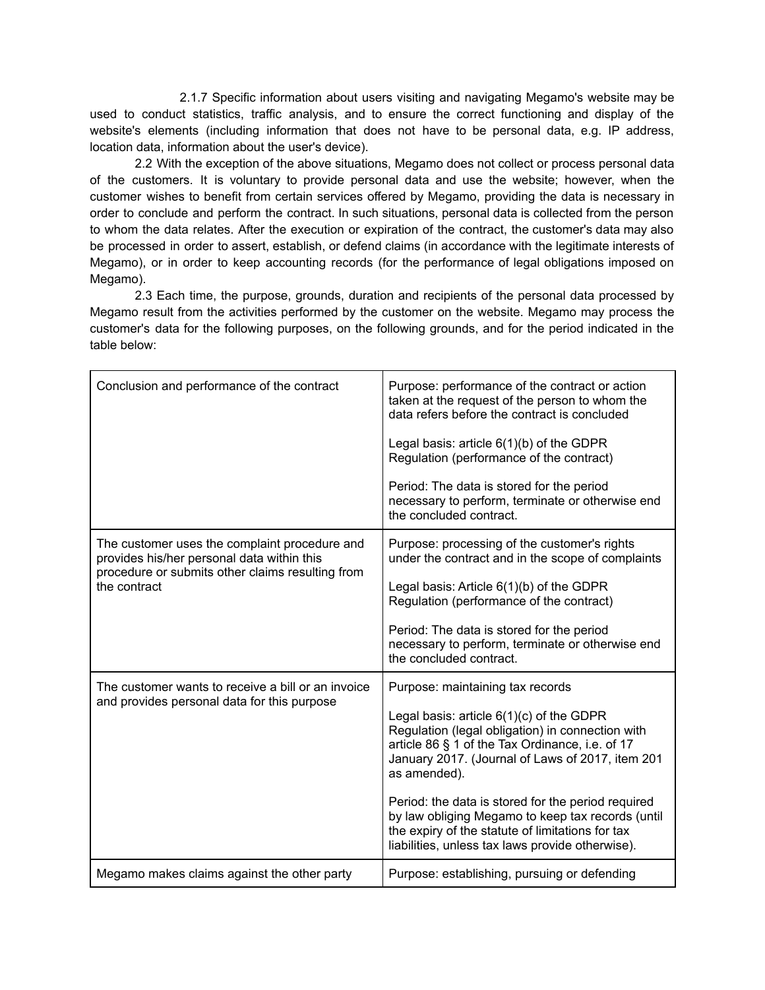2.1.7 Specific information about users visiting and navigating Megamo's website may be used to conduct statistics, traffic analysis, and to ensure the correct functioning and display of the website's elements (including information that does not have to be personal data, e.g. IP address, location data, information about the user's device).

2.2 With the exception of the above situations, Megamo does not collect or process personal data of the customers. It is voluntary to provide personal data and use the website; however, when the customer wishes to benefit from certain services offered by Megamo, providing the data is necessary in order to conclude and perform the contract. In such situations, personal data is collected from the person to whom the data relates. After the execution or expiration of the contract, the customer's data may also be processed in order to assert, establish, or defend claims (in accordance with the legitimate interests of Megamo), or in order to keep accounting records (for the performance of legal obligations imposed on Megamo).

2.3 Each time, the purpose, grounds, duration and recipients of the personal data processed by Megamo result from the activities performed by the customer on the website. Megamo may process the customer's data for the following purposes, on the following grounds, and for the period indicated in the table below:

| Conclusion and performance of the contract                                                                                                                      | Purpose: performance of the contract or action<br>taken at the request of the person to whom the<br>data refers before the contract is concluded                                                                      |  |
|-----------------------------------------------------------------------------------------------------------------------------------------------------------------|-----------------------------------------------------------------------------------------------------------------------------------------------------------------------------------------------------------------------|--|
|                                                                                                                                                                 | Legal basis: article $6(1)(b)$ of the GDPR<br>Regulation (performance of the contract)                                                                                                                                |  |
|                                                                                                                                                                 | Period: The data is stored for the period<br>necessary to perform, terminate or otherwise end<br>the concluded contract.                                                                                              |  |
| The customer uses the complaint procedure and<br>provides his/her personal data within this<br>procedure or submits other claims resulting from<br>the contract | Purpose: processing of the customer's rights<br>under the contract and in the scope of complaints                                                                                                                     |  |
|                                                                                                                                                                 | Legal basis: Article 6(1)(b) of the GDPR<br>Regulation (performance of the contract)                                                                                                                                  |  |
|                                                                                                                                                                 | Period: The data is stored for the period<br>necessary to perform, terminate or otherwise end<br>the concluded contract.                                                                                              |  |
| The customer wants to receive a bill or an invoice                                                                                                              | Purpose: maintaining tax records                                                                                                                                                                                      |  |
| and provides personal data for this purpose                                                                                                                     | Legal basis: article $6(1)(c)$ of the GDPR<br>Regulation (legal obligation) in connection with<br>article 86 § 1 of the Tax Ordinance, i.e. of 17<br>January 2017. (Journal of Laws of 2017, item 201<br>as amended). |  |
|                                                                                                                                                                 | Period: the data is stored for the period required<br>by law obliging Megamo to keep tax records (until<br>the expiry of the statute of limitations for tax<br>liabilities, unless tax laws provide otherwise).       |  |
| Megamo makes claims against the other party                                                                                                                     | Purpose: establishing, pursuing or defending                                                                                                                                                                          |  |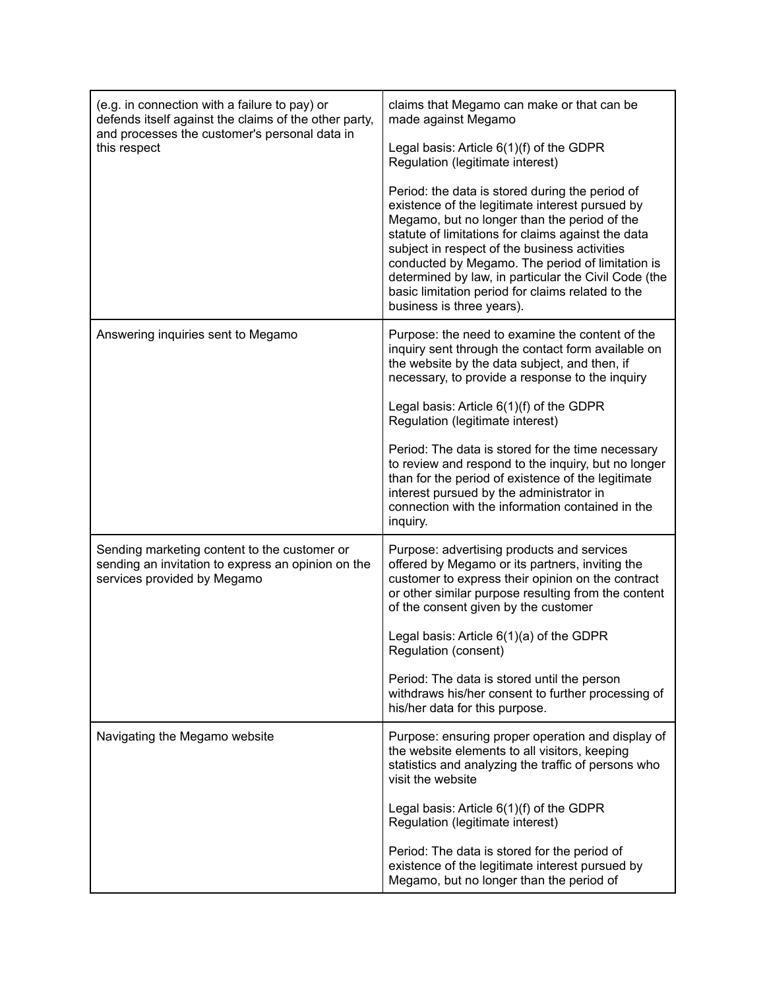| (e.g. in connection with a failure to pay) or<br>defends itself against the claims of the other party,<br>and processes the customer's personal data in<br>this respect | claims that Megamo can make or that can be<br>made against Megamo                                                                                                                                                                                                                                                                                                                                                                                       |  |
|-------------------------------------------------------------------------------------------------------------------------------------------------------------------------|---------------------------------------------------------------------------------------------------------------------------------------------------------------------------------------------------------------------------------------------------------------------------------------------------------------------------------------------------------------------------------------------------------------------------------------------------------|--|
|                                                                                                                                                                         | Legal basis: Article $6(1)(f)$ of the GDPR<br>Regulation (legitimate interest)                                                                                                                                                                                                                                                                                                                                                                          |  |
|                                                                                                                                                                         | Period: the data is stored during the period of<br>existence of the legitimate interest pursued by<br>Megamo, but no longer than the period of the<br>statute of limitations for claims against the data<br>subject in respect of the business activities<br>conducted by Megamo. The period of limitation is<br>determined by law, in particular the Civil Code (the<br>basic limitation period for claims related to the<br>business is three years). |  |
| Answering inquiries sent to Megamo                                                                                                                                      | Purpose: the need to examine the content of the<br>inquiry sent through the contact form available on<br>the website by the data subject, and then, if<br>necessary, to provide a response to the inquiry                                                                                                                                                                                                                                               |  |
|                                                                                                                                                                         | Legal basis: Article $6(1)(f)$ of the GDPR<br>Regulation (legitimate interest)                                                                                                                                                                                                                                                                                                                                                                          |  |
|                                                                                                                                                                         | Period: The data is stored for the time necessary<br>to review and respond to the inquiry, but no longer<br>than for the period of existence of the legitimate<br>interest pursued by the administrator in<br>connection with the information contained in the<br>inquiry.                                                                                                                                                                              |  |
| Sending marketing content to the customer or<br>sending an invitation to express an opinion on the<br>services provided by Megamo                                       | Purpose: advertising products and services<br>offered by Megamo or its partners, inviting the<br>customer to express their opinion on the contract<br>or other similar purpose resulting from the content<br>of the consent given by the customer                                                                                                                                                                                                       |  |
|                                                                                                                                                                         | Legal basis: Article $6(1)(a)$ of the GDPR<br>Regulation (consent)                                                                                                                                                                                                                                                                                                                                                                                      |  |
|                                                                                                                                                                         | Period: The data is stored until the person<br>withdraws his/her consent to further processing of<br>his/her data for this purpose.                                                                                                                                                                                                                                                                                                                     |  |
| Navigating the Megamo website                                                                                                                                           | Purpose: ensuring proper operation and display of<br>the website elements to all visitors, keeping<br>statistics and analyzing the traffic of persons who<br>visit the website                                                                                                                                                                                                                                                                          |  |
|                                                                                                                                                                         | Legal basis: Article $6(1)(f)$ of the GDPR<br>Regulation (legitimate interest)                                                                                                                                                                                                                                                                                                                                                                          |  |
|                                                                                                                                                                         | Period: The data is stored for the period of<br>existence of the legitimate interest pursued by<br>Megamo, but no longer than the period of                                                                                                                                                                                                                                                                                                             |  |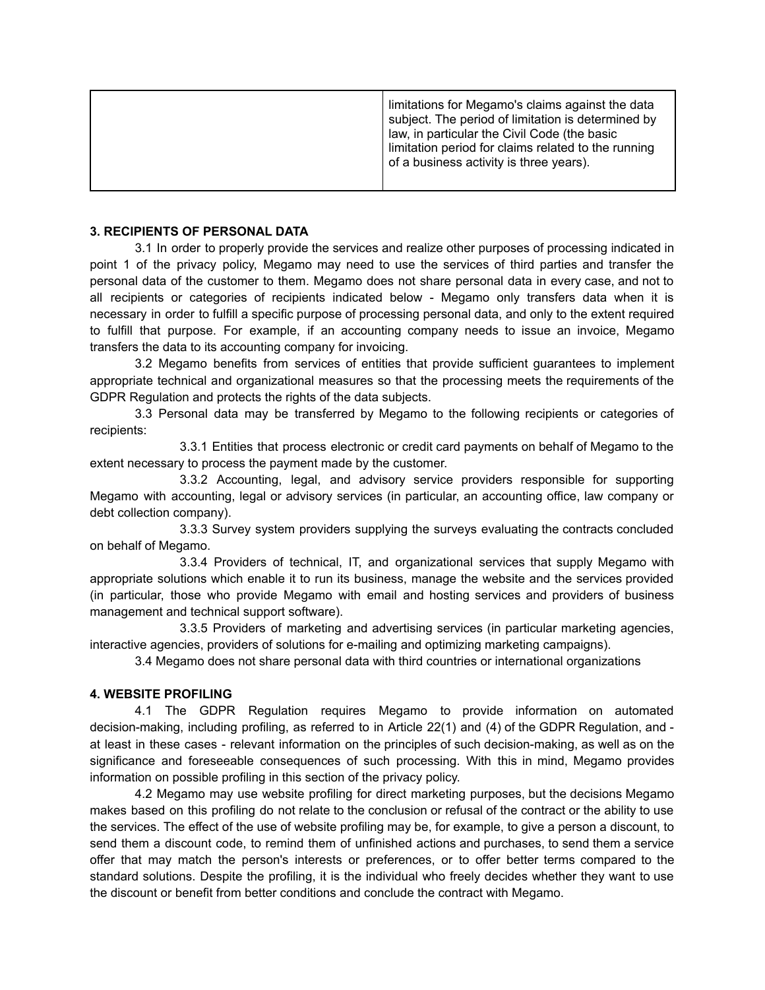### **3. RECIPIENTS OF PERSONAL DATA**

3.1 In order to properly provide the services and realize other purposes of processing indicated in point 1 of the privacy policy, Megamo may need to use the services of third parties and transfer the personal data of the customer to them. Megamo does not share personal data in every case, and not to all recipients or categories of recipients indicated below - Megamo only transfers data when it is necessary in order to fulfill a specific purpose of processing personal data, and only to the extent required to fulfill that purpose. For example, if an accounting company needs to issue an invoice, Megamo transfers the data to its accounting company for invoicing.

3.2 Megamo benefits from services of entities that provide sufficient guarantees to implement appropriate technical and organizational measures so that the processing meets the requirements of the GDPR Regulation and protects the rights of the data subjects.

3.3 Personal data may be transferred by Megamo to the following recipients or categories of recipients:

3.3.1 Entities that process electronic or credit card payments on behalf of Megamo to the extent necessary to process the payment made by the customer.

3.3.2 Accounting, legal, and advisory service providers responsible for supporting Megamo with accounting, legal or advisory services (in particular, an accounting office, law company or debt collection company).

3.3.3 Survey system providers supplying the surveys evaluating the contracts concluded on behalf of Megamo.

3.3.4 Providers of technical, IT, and organizational services that supply Megamo with appropriate solutions which enable it to run its business, manage the website and the services provided (in particular, those who provide Megamo with email and hosting services and providers of business management and technical support software).

3.3.5 Providers of marketing and advertising services (in particular marketing agencies, interactive agencies, providers of solutions for e-mailing and optimizing marketing campaigns).

3.4 Megamo does not share personal data with third countries or international organizations

# **4. WEBSITE PROFILING**

4.1 The GDPR Regulation requires Megamo to provide information on automated decision-making, including profiling, as referred to in Article 22(1) and (4) of the GDPR Regulation, and at least in these cases - relevant information on the principles of such decision-making, as well as on the significance and foreseeable consequences of such processing. With this in mind, Megamo provides information on possible profiling in this section of the privacy policy.

4.2 Megamo may use website profiling for direct marketing purposes, but the decisions Megamo makes based on this profiling do not relate to the conclusion or refusal of the contract or the ability to use the services. The effect of the use of website profiling may be, for example, to give a person a discount, to send them a discount code, to remind them of unfinished actions and purchases, to send them a service offer that may match the person's interests or preferences, or to offer better terms compared to the standard solutions. Despite the profiling, it is the individual who freely decides whether they want to use the discount or benefit from better conditions and conclude the contract with Megamo.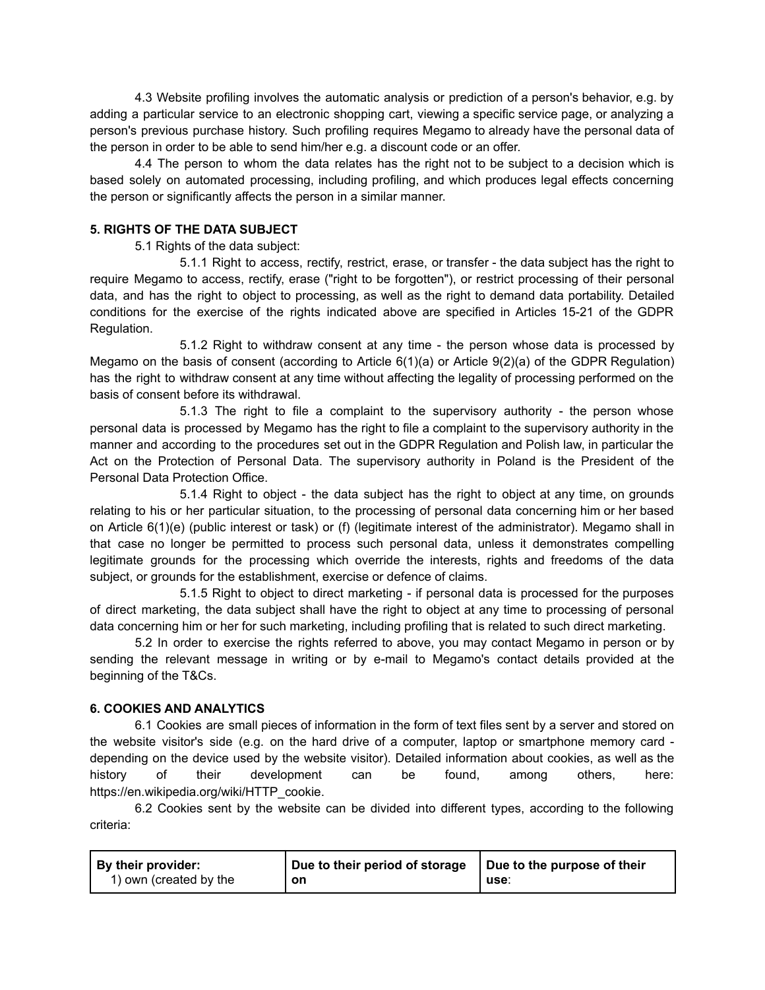4.3 Website profiling involves the automatic analysis or prediction of a person's behavior, e.g. by adding a particular service to an electronic shopping cart, viewing a specific service page, or analyzing a person's previous purchase history. Such profiling requires Megamo to already have the personal data of the person in order to be able to send him/her e.g. a discount code or an offer.

4.4 The person to whom the data relates has the right not to be subject to a decision which is based solely on automated processing, including profiling, and which produces legal effects concerning the person or significantly affects the person in a similar manner.

# **5. RIGHTS OF THE DATA SUBJECT**

5.1 Rights of the data subject:

5.1.1 Right to access, rectify, restrict, erase, or transfer - the data subject has the right to require Megamo to access, rectify, erase ("right to be forgotten"), or restrict processing of their personal data, and has the right to object to processing, as well as the right to demand data portability. Detailed conditions for the exercise of the rights indicated above are specified in Articles 15-21 of the GDPR Regulation.

5.1.2 Right to withdraw consent at any time - the person whose data is processed by Megamo on the basis of consent (according to Article 6(1)(a) or Article 9(2)(a) of the GDPR Regulation) has the right to withdraw consent at any time without affecting the legality of processing performed on the basis of consent before its withdrawal.

5.1.3 The right to file a complaint to the supervisory authority - the person whose personal data is processed by Megamo has the right to file a complaint to the supervisory authority in the manner and according to the procedures set out in the GDPR Regulation and Polish law, in particular the Act on the Protection of Personal Data. The supervisory authority in Poland is the President of the Personal Data Protection Office.

5.1.4 Right to object - the data subject has the right to object at any time, on grounds relating to his or her particular situation, to the processing of personal data concerning him or her based on Article 6(1)(e) (public interest or task) or (f) (legitimate interest of the administrator). Megamo shall in that case no longer be permitted to process such personal data, unless it demonstrates compelling legitimate grounds for the processing which override the interests, rights and freedoms of the data subject, or grounds for the establishment, exercise or defence of claims.

5.1.5 Right to object to direct marketing - if personal data is processed for the purposes of direct marketing, the data subject shall have the right to object at any time to processing of personal data concerning him or her for such marketing, including profiling that is related to such direct marketing.

5.2 In order to exercise the rights referred to above, you may contact Megamo in person or by sending the relevant message in writing or by e-mail to Megamo's contact details provided at the beginning of the T&Cs.

# **6. COOKIES AND ANALYTICS**

6.1 Cookies are small pieces of information in the form of text files sent by a server and stored on the website visitor's side (e.g. on the hard drive of a computer, laptop or smartphone memory card depending on the device used by the website visitor). Detailed information about cookies, as well as the history of their development can be found, among others, here: https://en.wikipedia.org/wiki/HTTP\_cookie.

6.2 Cookies sent by the website can be divided into different types, according to the following criteria:

| <b>By their provider:</b> | Due to their period of storage | Due to the purpose of their |
|---------------------------|--------------------------------|-----------------------------|
| 1) own (created by the    | on                             | use.                        |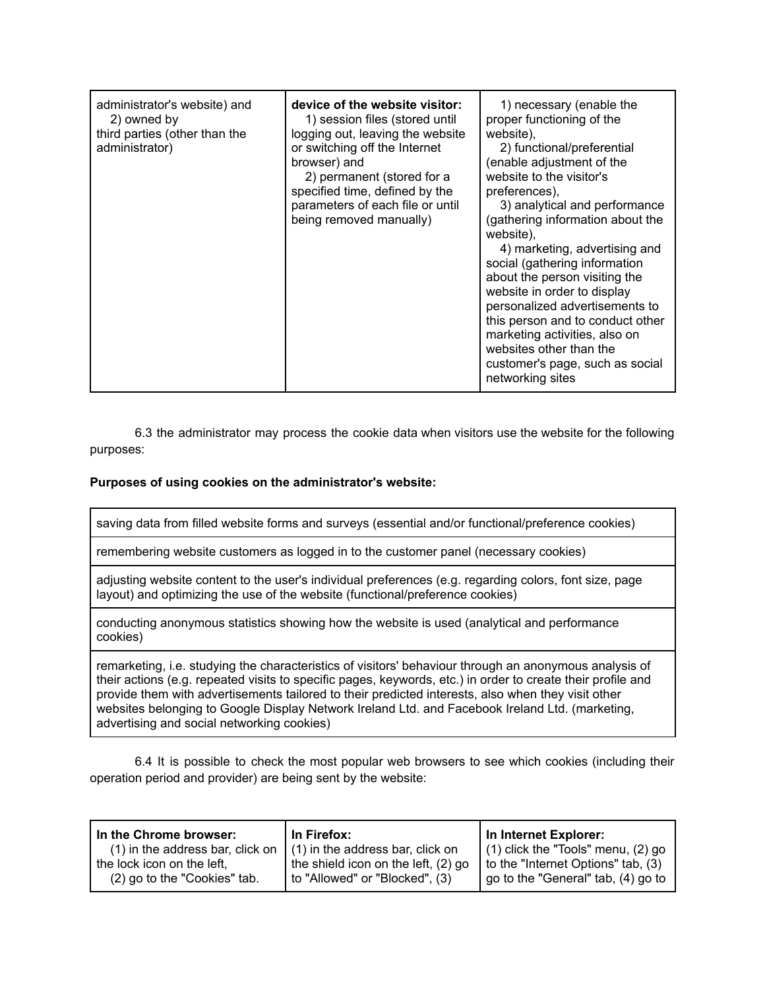| administrator's website) and<br>2) owned by<br>third parties (other than the<br>administrator) | device of the website visitor:<br>1) session files (stored until<br>logging out, leaving the website<br>or switching off the Internet<br>browser) and<br>2) permanent (stored for a<br>specified time, defined by the<br>parameters of each file or until<br>being removed manually) | 1) necessary (enable the<br>proper functioning of the<br>website).<br>2) functional/preferential<br>(enable adjustment of the<br>website to the visitor's<br>preferences),<br>3) analytical and performance<br>(gathering information about the<br>website),<br>4) marketing, advertising and<br>social (gathering information<br>about the person visiting the<br>website in order to display<br>personalized advertisements to<br>this person and to conduct other<br>marketing activities, also on<br>websites other than the<br>customer's page, such as social |
|------------------------------------------------------------------------------------------------|--------------------------------------------------------------------------------------------------------------------------------------------------------------------------------------------------------------------------------------------------------------------------------------|---------------------------------------------------------------------------------------------------------------------------------------------------------------------------------------------------------------------------------------------------------------------------------------------------------------------------------------------------------------------------------------------------------------------------------------------------------------------------------------------------------------------------------------------------------------------|
|                                                                                                |                                                                                                                                                                                                                                                                                      | networking sites                                                                                                                                                                                                                                                                                                                                                                                                                                                                                                                                                    |

6.3 the administrator may process the cookie data when visitors use the website for the following purposes:

# **Purposes of using cookies on the administrator's website:**

saving data from filled website forms and surveys (essential and/or functional/preference cookies)

remembering website customers as logged in to the customer panel (necessary cookies)

adjusting website content to the user's individual preferences (e.g. regarding colors, font size, page layout) and optimizing the use of the website (functional/preference cookies)

conducting anonymous statistics showing how the website is used (analytical and performance cookies)

remarketing, i.e. studying the characteristics of visitors' behaviour through an anonymous analysis of their actions (e.g. repeated visits to specific pages, keywords, etc.) in order to create their profile and provide them with advertisements tailored to their predicted interests, also when they visit other websites belonging to Google Display Network Ireland Ltd. and Facebook Ireland Ltd. (marketing, advertising and social networking cookies)

6.4 It is possible to check the most popular web browsers to see which cookies (including their operation period and provider) are being sent by the website:

| In the Chrome browser:           | In Firefox:                         | In Internet Explorer:                  |
|----------------------------------|-------------------------------------|----------------------------------------|
| (1) in the address bar, click on | $(1)$ in the address bar, click on  | $(1)$ click the "Tools" menu, $(2)$ go |
| the lock icon on the left,       | the shield icon on the left, (2) go | to the "Internet Options" tab, (3)     |
| (2) go to the "Cookies" tab.     | to "Allowed" or "Blocked", (3)      | go to the "General" tab, (4) go to     |